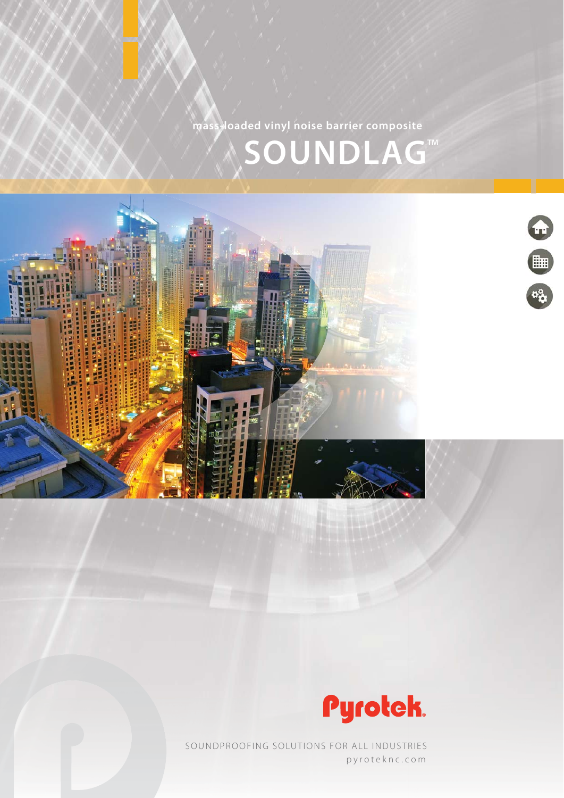**SOUNDLAG<sup>™</sup> mass-loaded vinyl noise barrier composite**





pyroteknc.com SOUNDPROOFING SOLUTIONS FOR ALL INDUSTRIES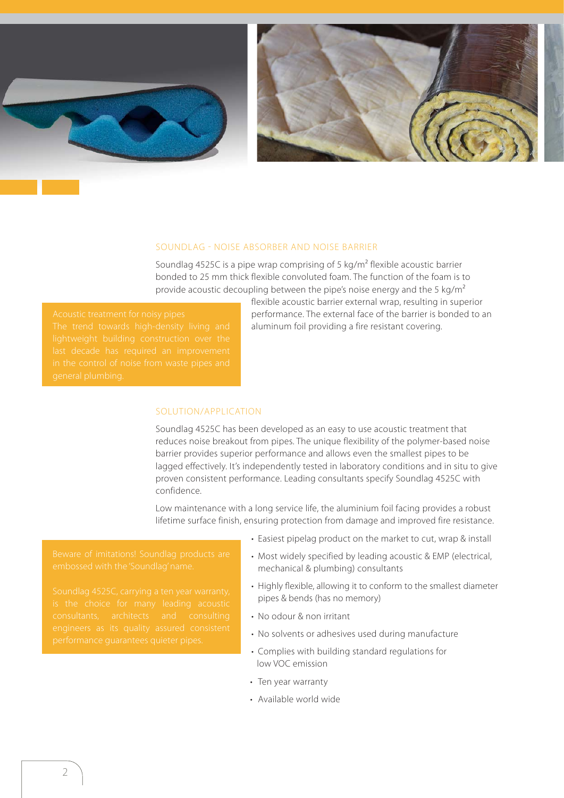



## SOUNDLAG - NOISE ABSORBER AND NOISE BARRIER

Soundlag 4525C is a pipe wrap comprising of 5 kg/m<sup>2</sup> flexible acoustic barrier bonded to 25 mm thick flexible convoluted foam. The function of the foam is to provide acoustic decoupling between the pipe's noise energy and the 5 kg/ $m^2$ 

flexible acoustic barrier external wrap, resulting in superior performance. The external face of the barrier is bonded to an aluminum foil providing a fire resistant covering.

## SOLUTION/APPLICATION

Soundlag 4525C has been developed as an easy to use acoustic treatment that reduces noise breakout from pipes. The unique flexibility of the polymer-based noise barrier provides superior performance and allows even the smallest pipes to be lagged effectively. It's independently tested in laboratory conditions and in situ to give proven consistent performance. Leading consultants specify Soundlag 4525C with confidence.

Low maintenance with a long service life, the aluminium foil facing provides a robust lifetime surface finish, ensuring protection from damage and improved fire resistance.

embossed with the 'Soundlag' name.

- Easiest pipelag product on the market to cut, wrap & install
- Most widely specified by leading acoustic & EMP (electrical, mechanical & plumbing) consultants
- Highly flexible, allowing it to conform to the smallest diameter pipes & bends (has no memory)
- No odour & non irritant
- No solvents or adhesives used during manufacture
- Complies with building standard regulations for low VOC emission
- Ten year warranty
- Available world wide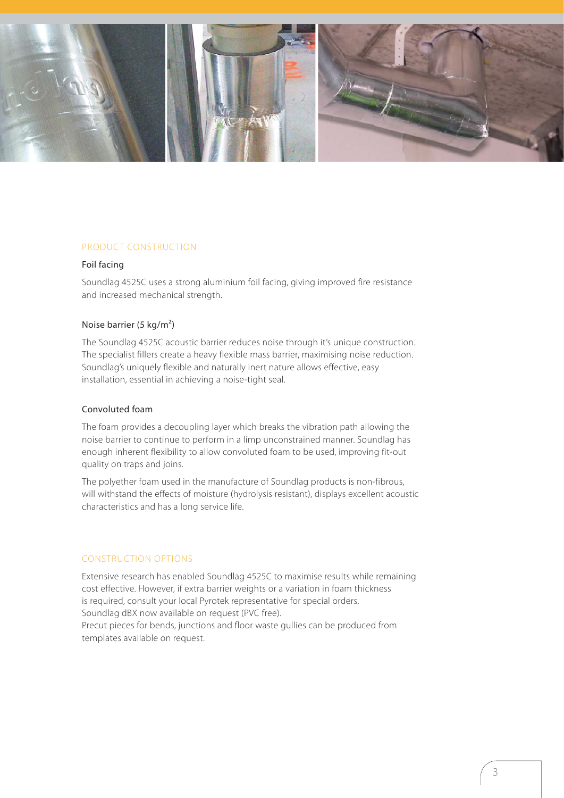

## PRODUCT CONSTRUCTION

#### Foil facing

Soundlag 4525C uses a strong aluminium foil facing, giving improved fire resistance and increased mechanical strength.

#### Noise barrier (5 kg/m²)

The Soundlag 4525C acoustic barrier reduces noise through it's unique construction. The specialist fillers create a heavy flexible mass barrier, maximising noise reduction. Soundlag's uniquely flexible and naturally inert nature allows effective, easy installation, essential in achieving a noise-tight seal.

## Convoluted foam

The foam provides a decoupling layer which breaks the vibration path allowing the noise barrier to continue to perform in a limp unconstrained manner. Soundlag has enough inherent flexibility to allow convoluted foam to be used, improving fit-out quality on traps and joins.

The polyether foam used in the manufacture of Soundlag products is non-fibrous, will withstand the effects of moisture (hydrolysis resistant), displays excellent acoustic characteristics and has a long service life.

#### CONSTRUCTION OPTIONS

Extensive research has enabled Soundlag 4525C to maximise results while remaining cost effective. However, if extra barrier weights or a variation in foam thickness is required, consult your local Pyrotek representative for special orders. Soundlag dBX now available on request (PVC free). Precut pieces for bends, junctions and floor waste gullies can be produced from templates available on request.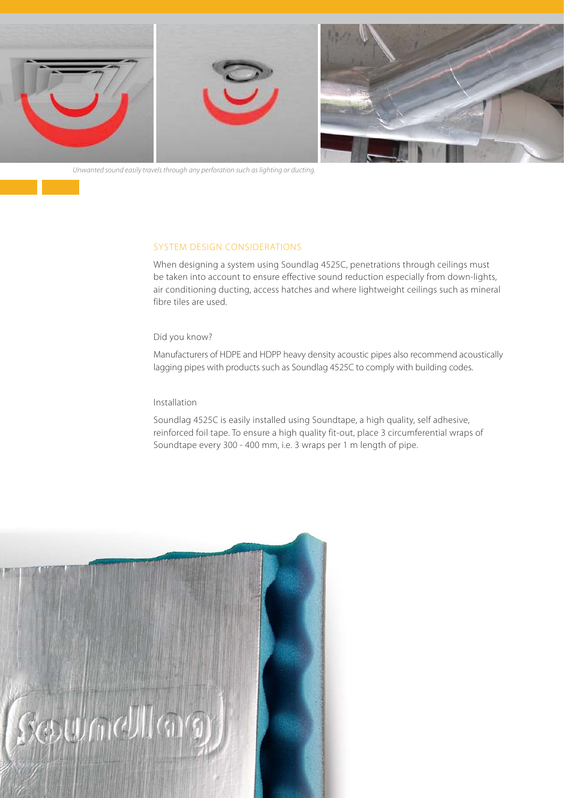

Unwanted sound easily travels through any perforation such as lighting or ducting.

## SYSTEM DESIGN CONSIDERATIONS

When designing a system using Soundlag 4525C, penetrations through ceilings must be taken into account to ensure effective sound reduction especially from down-lights, air conditioning ducting, access hatches and where lightweight ceilings such as mineral fibre tiles are used.

#### Did you know?

Manufacturers of HDPE and HDPP heavy density acoustic pipes also recommend acoustically lagging pipes with products such as Soundlag 4525C to comply with building codes.

#### Installation

Soundlag 4525C is easily installed using Soundtape, a high quality, self adhesive, reinforced foil tape. To ensure a high quality fit-out, place 3 circumferential wraps of Soundtape every 300 - 400 mm, i.e. 3 wraps per 1 m length of pipe.

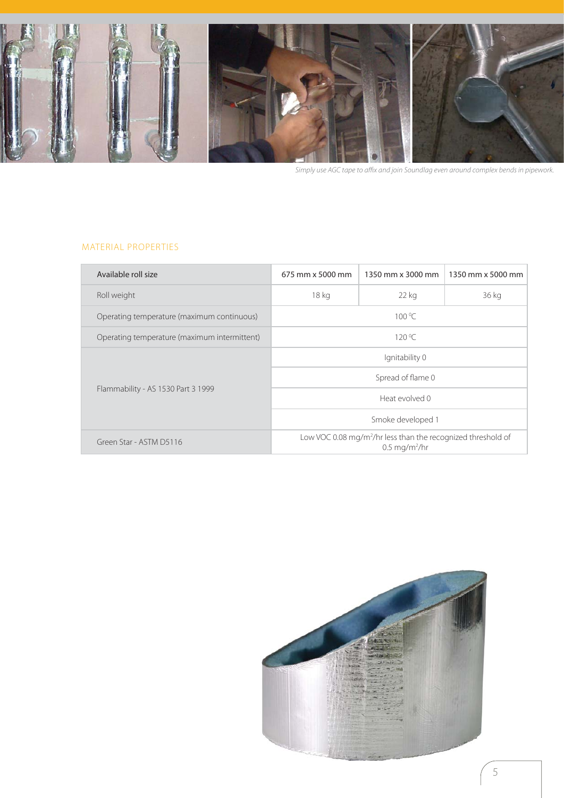

Simply use AGC tape to affix and join Soundlag even around complex bends in pipework.

# MATERIAL PROPERTIES

| Available roll size                          | 675 mm x 5000 mm                                                                                     | 1350 mm x 3000 mm | 1350 mm x 5000 mm |  |
|----------------------------------------------|------------------------------------------------------------------------------------------------------|-------------------|-------------------|--|
| Roll weight                                  | 18 kg                                                                                                | 22 kg             | 36 kg             |  |
| Operating temperature (maximum continuous)   | 100 °C                                                                                               |                   |                   |  |
| Operating temperature (maximum intermittent) | 120 °C                                                                                               |                   |                   |  |
| Flammability - AS 1530 Part 3 1999           | Ignitability 0                                                                                       |                   |                   |  |
|                                              | Spread of flame 0                                                                                    |                   |                   |  |
|                                              | Heat evolved 0                                                                                       |                   |                   |  |
|                                              | Smoke developed 1                                                                                    |                   |                   |  |
| Green Star - ASTM D5116                      | Low VOC 0.08 mg/m <sup>2</sup> /hr less than the recognized threshold of<br>$0.5 \text{ mg/m}^2$ /hr |                   |                   |  |

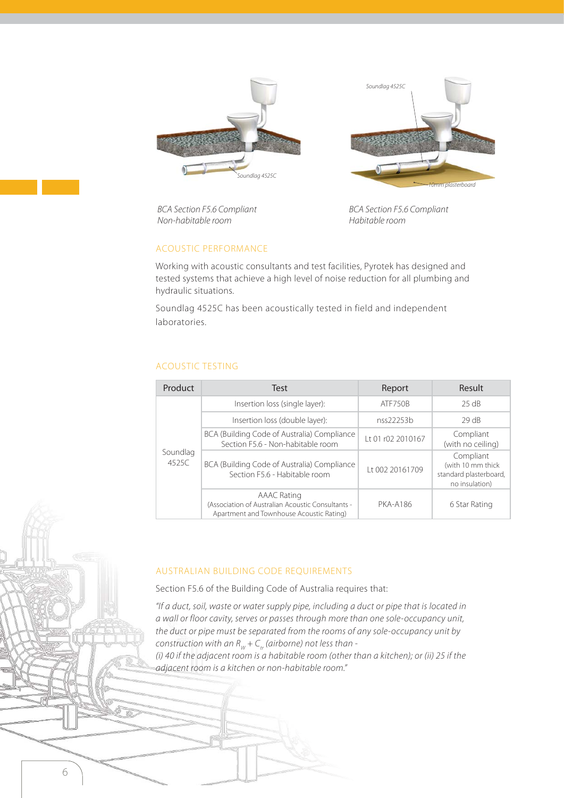



BCA Section F5.6 Compliant Non-habitable room

BCA Section F5.6 Compliant Habitable room

## ACOUSTIC PERFORMANCE

Working with acoustic consultants and test facilities, Pyrotek has designed and tested systems that achieve a high level of noise reduction for all plumbing and hydraulic situations.

Soundlag 4525C has been acoustically tested in field and independent laboratories.

## ACOUSTIC TESTING

6

| Product           | Test                                                                                                                | Report            | <b>Result</b>                                                              |
|-------------------|---------------------------------------------------------------------------------------------------------------------|-------------------|----------------------------------------------------------------------------|
| Soundlag<br>4525C | Insertion loss (single layer):                                                                                      | ATF750B           | 25 dB                                                                      |
|                   | Insertion loss (double layer):                                                                                      | nss22253b         | 29 dB                                                                      |
|                   | BCA (Building Code of Australia) Compliance<br>Section F5.6 - Non-habitable room                                    | 1t 01 r02 2010167 | Compliant<br>(with no ceiling)                                             |
|                   | BCA (Building Code of Australia) Compliance<br>Section F5.6 - Habitable room                                        | Lt 002 20161709   | Compliant<br>(with 10 mm thick<br>standard plasterboard,<br>no insulation) |
|                   | <b>AAAC Rating</b><br>(Association of Australian Acoustic Consultants -<br>Apartment and Townhouse Acoustic Rating) | <b>PKA-A186</b>   | 6 Star Rating                                                              |

## AUSTRALIAN BUILDING CODE REQUIREMENTS

Section F5.6 of the Building Code of Australia requires that:

"If a duct, soil, waste or water supply pipe, including a duct or pipe that is located in a wall or floor cavity, serves or passes through more than one sole-occupancy unit, the duct or pipe must be separated from the rooms of any sole-occupancy unit by construction with an  $R_W + C_{tr}$  (airborne) not less than -

(i) 40 if the adjacent room is a habitable room (other than a kitchen); or (ii) 25 if the adjacent room is a kitchen or non-habitable room."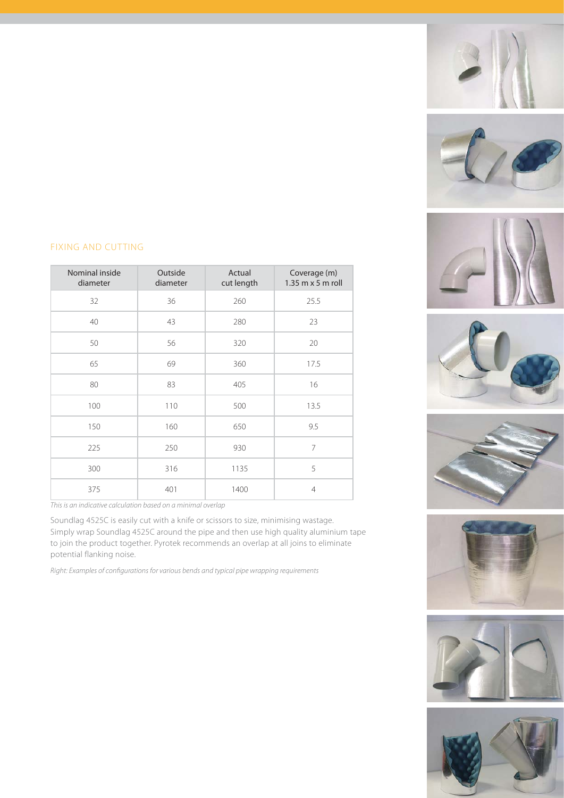















# FIXING AND CUTTING

Nominal inside diameter Outside diameter Actual cut length Coverage (m) 1.35 m x 5 m roll 32 36 260 25.5 40 43 280 23 50 56 320 20 65 69 360 17.5 80 | 83 | 405 | 16 100 | 110 | 500 | 13.5 150 160 650 9.5 225 250 930 7 300 316 1135 5 375 401 1400 4

This is an indicative calculation based on a minimal overlap

Soundlag 4525C is easily cut with a knife or scissors to size, minimising wastage. Simply wrap Soundlag 4525C around the pipe and then use high quality aluminium tape to join the product together. Pyrotek recommends an overlap at all joins to eliminate potential flanking noise.

Right: Examples of configurations for various bends and typical pipe wrapping requirements